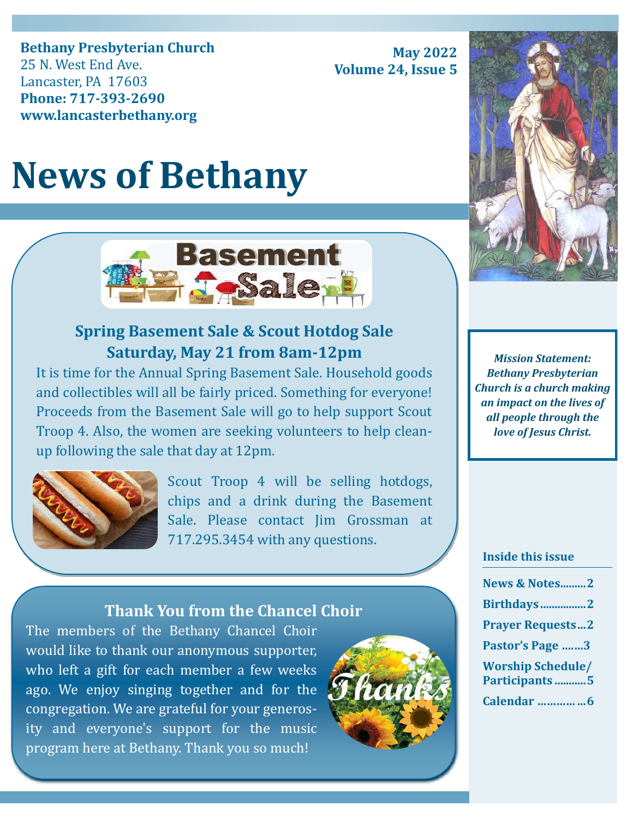**Bethany Presbyterian Church** 25 N. West End Ave. Lancaster, PA 17603 **Phone: 717-393-2690 www.lancasterbethany.org**

**May 2022 Volume 24, Issue 5**

# **News of Bethany**



# **Spring Basement Sale & Scout Hotdog Sale Saturday, May 21 from 8am-12pm**

It is time for the Annual Spring Basement Sale. Household goods and collectibles will all be fairly priced. Something for everyone! Proceeds from the Basement Sale will go to help support Scout Troop 4. Also, the women are seeking volunteers to help cleanup following the sale that day at 12pm.



Scout Troop 4 will be selling hotdogs, chips and a drink during the Basement Sale. Please contact Jim Grossman at 717.295.3454 with any questions.

## **Thank You from the Chancel Choir**

The members of the Bethany Chancel Choir would like to thank our anonymous supporter, who left a gift for each member a few weeks ago. We enjoy singing together and for the congregation. We are grateful for your generosity and everyone's support for the music program here at Bethany. Thank you so much!





*Mission Statement: Bethany Presbyterian Church is a church making an impact on the lives of all people through the love of Jesus Christ.*

#### **Inside this issue**

| <b>News &amp; Notes2</b>                   |  |
|--------------------------------------------|--|
| <b>Birthdays2</b>                          |  |
| <b>Prayer Requests2</b>                    |  |
| Pastor's Page 3                            |  |
| <b>Worship Schedule/</b><br>Participants 5 |  |
| Calendar 6                                 |  |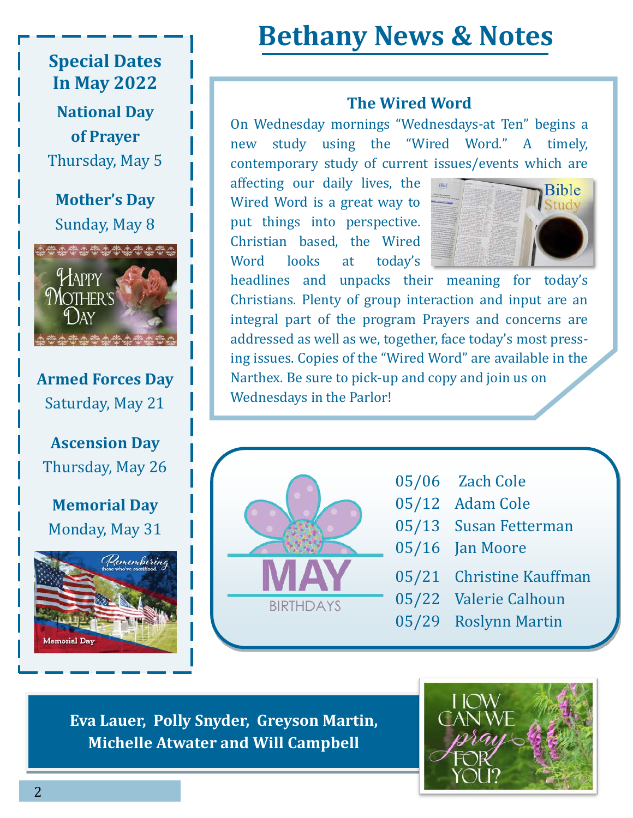# **Special Dates In May 2022**

**National Day of Prayer** Thursday, May 5

 Sunday, May 8 **Mother's Day**



**Armed Forces Day** Saturday, May 21

**Ascension Day** Thursday, May 26

**Memorial Day** Monday, May 31



# **Bethany News & Notes**

### **The Wired Word**

On Wednesday mornings "Wednesdays-at Ten" begins a new study using the "Wired Word." A timely, contemporary study of current issues/events which are

affecting our daily lives, the Wired Word is a great way to put things into perspective. Christian based, the Wired Word looks at today's



headlines and unpacks their meaning for today's Christians. Plenty of group interaction and input are an integral part of the program Prayers and concerns are addressed as well as we, together, face today's most pressing issues. Copies of the "Wired Word" are available in the Narthex. Be sure to pick-up and copy and join us on Wednesdays in the Parlor!



- 05/06 Zach Cole
- 05/12 Adam Cole
- 05/13 Susan Fetterman
- 05/16 Jan Moore
- 05/21 Christine Kauffman
- 05/22 Valerie Calhoun
- 05/29 Roslynn Martin

**Eva Lauer, Polly Snyder, Greyson Martin, Michelle Atwater and Will Campbell** 

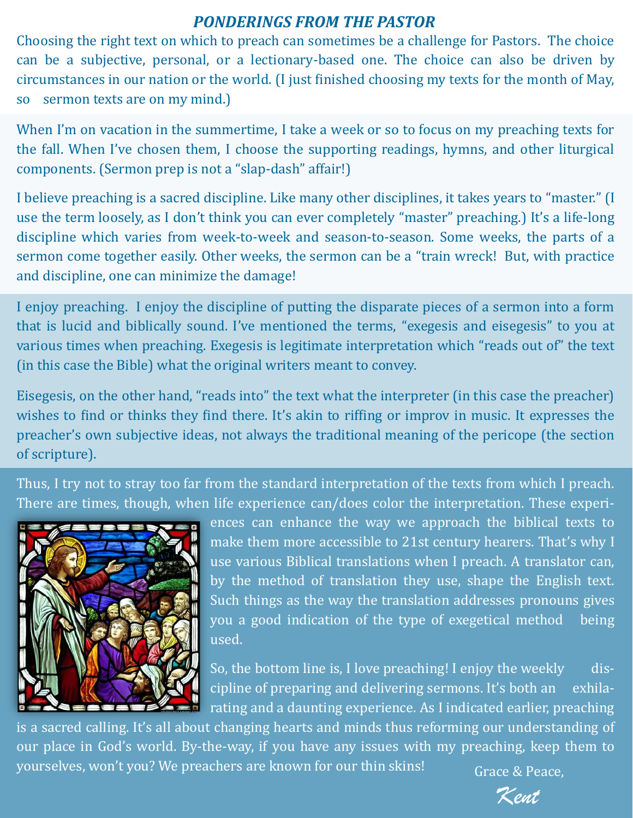# *PONDERINGS FROM THE PASTOR*

Choosing the right text on which to preach can sometimes be a challenge for Pastors. The choice can be a subjective, personal, or a lectionary-based one. The choice can also be driven by circumstances in our nation or the world. (I just finished choosing my texts for the month of May, so sermon texts are on my mind.)

When I'm on vacation in the summertime, I take a week or so to focus on my preaching texts for the fall. When I've chosen them, I choose the supporting readings, hymns, and other liturgical components. (Sermon prep is not a "slap-dash" affair!)

I believe preaching is a sacred discipline. Like many other disciplines, it takes years to "master." (I use the term loosely, as I don't think you can ever completely "master" preaching.) It's a life-long discipline which varies from week-to-week and season-to-season. Some weeks, the parts of a sermon come together easily. Other weeks, the sermon can be a "train wreck! But, with practice and discipline, one can minimize the damage!

I enjoy preaching. I enjoy the discipline of putting the disparate pieces of a sermon into a form that is lucid and biblically sound. I've mentioned the terms, "exegesis and eisegesis" to you at various times when preaching. Exegesis is legitimate interpretation which "reads out of" the text (in this case the Bible) what the original writers meant to convey.

Eisegesis, on the other hand, "reads into" the text what the interpreter (in this case the preacher) wishes to find or thinks they find there. It's akin to riffing or improv in music. It expresses the preacher's own subjective ideas, not always the traditional meaning of the pericope (the section of scripture).

Thus, I try not to stray too far from the standard interpretation of the texts from which I preach. There are times, though, when life experience can/does color the interpretation. These experi-



ences can enhance the way we approach the biblical texts to make them more accessible to 21st century hearers. That's why I use various Biblical translations when I preach. A translator can, by the method of translation they use, shape the English text. Such things as the way the translation addresses pronouns gives you a good indication of the type of exegetical method being used.

So, the bottom line is, I love preaching! I enjoy the weekly discipline of preparing and delivering sermons. It's both an exhilarating and a daunting experience. As I indicated earlier, preaching

is a sacred calling. It's all about changing hearts and minds thus reforming our understanding of our place in God's world. By-the-way, if you have any issues with my preaching, keep them to yourselves, won't you? We preachers are known for our thin skins!  $Grace & Peace$ .

Kent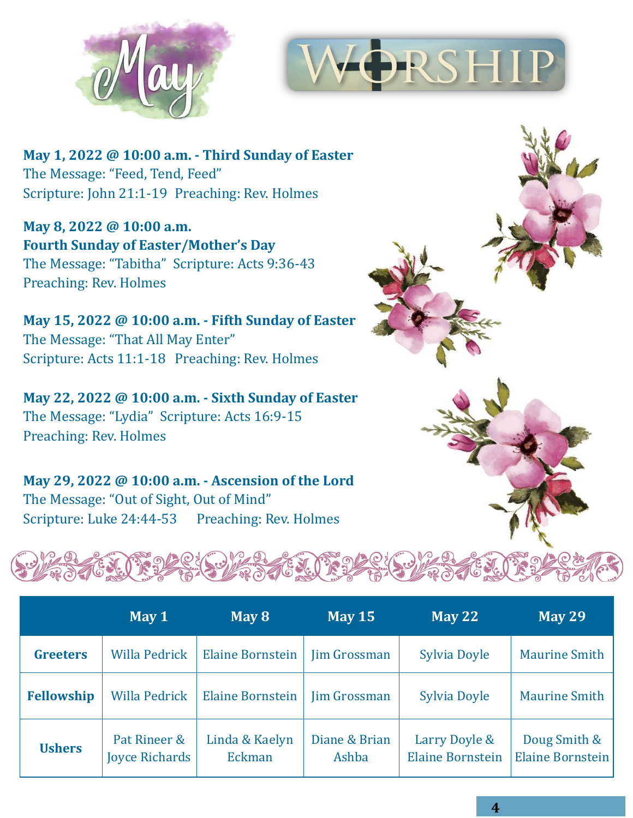



**May 1, 2022 @ 10:00 a.m. - Third Sunday of Easter** The Message: "Feed, Tend, Feed" Scripture: John 21:1-19 Preaching: Rev. Holmes

**May 8, 2022 @ 10:00 a.m. Fourth Sunday of Easter/Mother's Day** The Message: "Tabitha" Scripture: Acts 9:36-<sup>43</sup> Preaching: Rev. Holmes

**May 15, 2022 @ 10:00 a.m. - Fifth Sunday of Easter** The Message: "That All May Enter" Scripture: Acts 11:1-18 Preaching: Rev. Holmes

**May 22, 2022 @ 10:00 a.m. - Sixth Sunday of Easter** The Message: "Lydia" Scripture: Acts 16:9-<sup>15</sup> Preaching: Rev. Holmes

**May 29, 2022 @ 10:00 a.m. - Ascension of the Lord** The Message: "Out of Sight, Out of Mind" Scripture: Luke 24:44-53 Preaching: Rev. Holmes



|                   | May 1                                 | May 8                    | <b>May 15</b>          | <b>May 22</b>                            | <b>May 29</b>                           |
|-------------------|---------------------------------------|--------------------------|------------------------|------------------------------------------|-----------------------------------------|
| <b>Greeters</b>   | <b>Willa Pedrick</b>                  | <b>Elaine Bornstein</b>  | <b>Jim Grossman</b>    | Sylvia Doyle                             | <b>Maurine Smith</b>                    |
| <b>Fellowship</b> | <b>Willa Pedrick</b>                  | <b>Elaine Bornstein</b>  | <b>Jim Grossman</b>    | Sylvia Doyle                             | <b>Maurine Smith</b>                    |
| <b>Ushers</b>     | Pat Rineer &<br><b>Joyce Richards</b> | Linda & Kaelyn<br>Eckman | Diane & Brian<br>Ashba | Larry Doyle &<br><b>Elaine Bornstein</b> | Doug Smith &<br><b>Elaine Bornstein</b> |

**4**